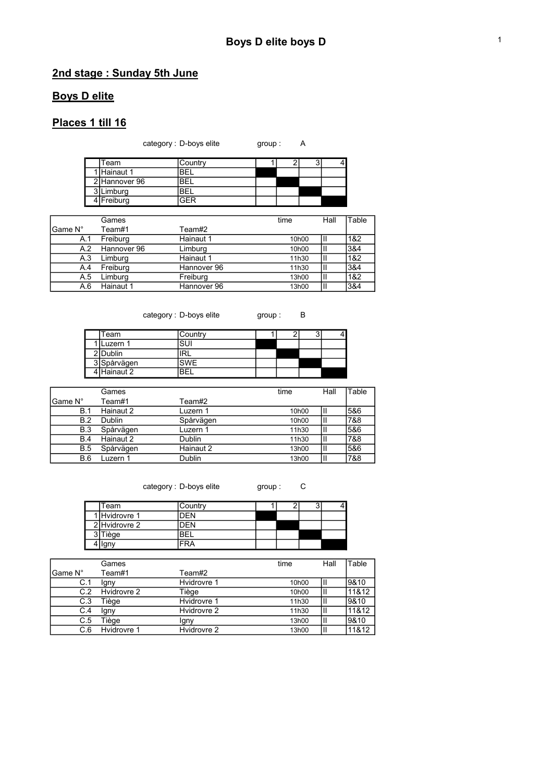## 2nd stage : Sunday 5th June

#### Boys D elite

### Places 1 till 16

| category : D-boys elite | group: | A |
|-------------------------|--------|---|
|-------------------------|--------|---|

| Team          | Country |  |  |
|---------------|---------|--|--|
| 1 Hainaut 1   | BFI     |  |  |
| 2 Hannover 96 | 'BEL    |  |  |
| 3 Limburg     | BEL     |  |  |
| 4 Freiburg    | ≌FR     |  |  |

|         | Games       |             | time               | Hall | Table |
|---------|-------------|-------------|--------------------|------|-------|
| Game N° | Team#1      | Team#2      |                    |      |       |
| A.1     | Freiburg    | Hainaut 1   | 10 <sub>h</sub> 00 |      | 1&2   |
| A.2     | Hannover 96 | Limburg     | 10 <sub>h</sub> 00 |      | 3&4   |
| A.3     | Limburg     | Hainaut 1   | 11h30              |      | 1&2   |
| A.4     | Freiburg    | Hannover 96 | 11h30              |      | 3&4   |
| A.5     | Limburg     | Freiburg    | 13h00              | Ш    | 1&2   |
| A.6     | Hainaut 1   | Hannover 96 | 13h00              |      | 3&4   |

| category : D-boys elite |  |  |  |
|-------------------------|--|--|--|
|-------------------------|--|--|--|

cate in the group : B

| Team        | Country |  | ັ |  |
|-------------|---------|--|---|--|
| Luzern 1    | SUI     |  |   |  |
| 2 Dublin    | 'RL     |  |   |  |
| 3 Spårvägen | SWF     |  |   |  |
| Hainaut 2   | RE      |  |   |  |

|            | Games     |           | time               | Hall | Table |
|------------|-----------|-----------|--------------------|------|-------|
| lGame N°   | Team#1    | Team#2    |                    |      |       |
| <b>B.1</b> | Hainaut 2 | Luzern 1  | 10 <sub>h</sub> 00 | Ш    | 5&6   |
| B.2        | Dublin    | Spårvägen | 10 <sub>h</sub> 00 | m    | 7&8   |
| <b>B.3</b> | Spårvägen | Luzern 1  | 11h30              | Ш    | 5&6   |
| <b>B.4</b> | Hainaut 2 | Dublin    | 11h30              | Ш    | 7&8   |
| <b>B.5</b> | Spårvägen | Hainaut 2 | 13h00              | Ш    | 5&6   |
| <b>B.6</b> | Luzern 1  | Dublin    | 13h00              | Ш    | 7&8   |

category : D-boys elite group : C

3 Tiège BEL 4 | Igny | FRA

Team Country 1 2 3 4 1 Hvidrovre 1 DEN 2 Hvidrovre 2 DEN

|         | Games       |             | time               | Hall | Table |
|---------|-------------|-------------|--------------------|------|-------|
| Game N° | Team#1      | Team#2      |                    |      |       |
| C.1     | Igny        | Hvidrovre 1 | 10 <sub>h</sub> 00 | Ш    | 9&10  |
| C.2     | Hvidrovre 2 | Tiège       | 10 <sub>h</sub> 00 | Ш    | 11&12 |
| C.3     | Tiège       | Hvidrovre 1 | 11h30              | ш    | 9&10  |
| C.4     | Igny        | Hvidrovre 2 | 11h30              | ш    | 11&12 |
| C.5     | Tiège       | lgny        | 13h00              | ш    | 9&10  |
| C.6     | Hvidrovre 1 | Hvidrovre 2 | 13h00              | Ш    | 11&12 |